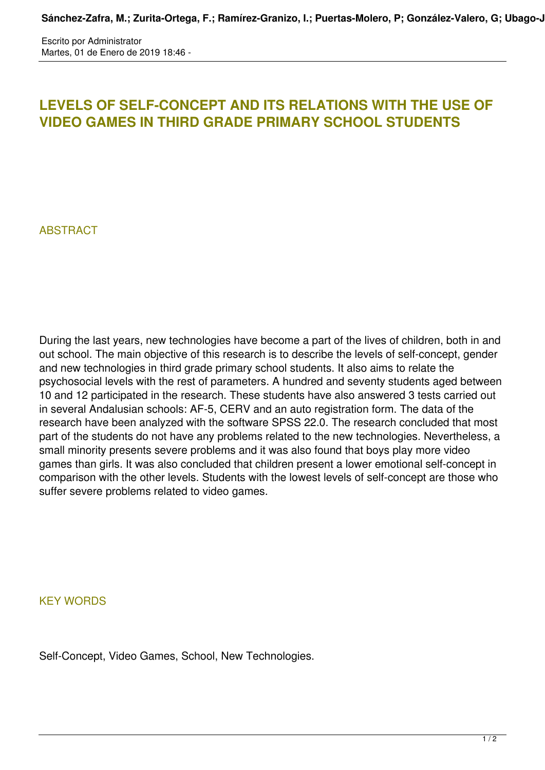Escrito por Administrator Martes, 01 de Enero de 2019 18:46 -

## **LEVELS OF SELF-CONCEPT AND ITS RELATIONS WITH THE USE OF VIDEO GAMES IN THIRD GRADE PRIMARY SCHOOL STUDENTS**

## **ABSTRACT**

During the last years, new technologies have become a part of the lives of children, both in and out school. The main objective of this research is to describe the levels of self-concept, gender and new technologies in third grade primary school students. It also aims to relate the psychosocial levels with the rest of parameters. A hundred and seventy students aged between 10 and 12 participated in the research. These students have also answered 3 tests carried out in several Andalusian schools: AF-5, CERV and an auto registration form. The data of the research have been analyzed with the software SPSS 22.0. The research concluded that most part of the students do not have any problems related to the new technologies. Nevertheless, a small minority presents severe problems and it was also found that boys play more video games than girls. It was also concluded that children present a lower emotional self-concept in comparison with the other levels. Students with the lowest levels of self-concept are those who suffer severe problems related to video games.

KEY WORDS

Self-Concept, Video Games, School, New Technologies.